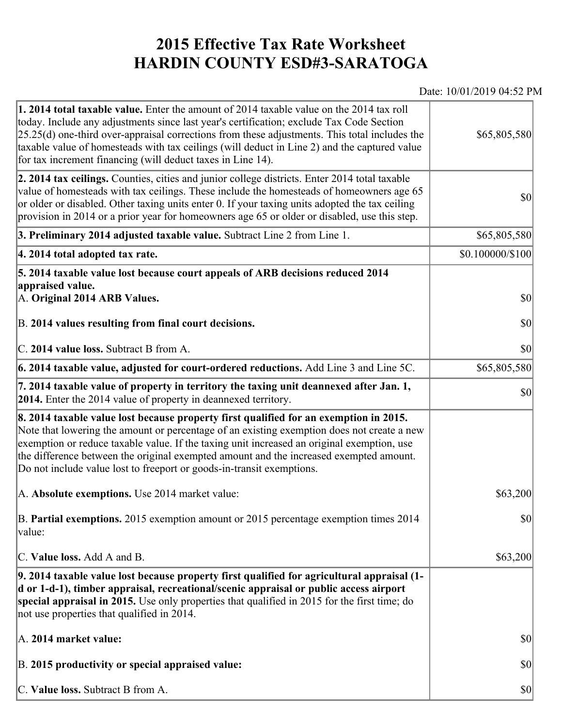## **2015 Effective Tax Rate Worksheet HARDIN COUNTY ESD#3-SARATOGA**

## Date: 10/01/2019 04:52 PM

| <b>1. 2014 total taxable value.</b> Enter the amount of 2014 taxable value on the 2014 tax roll<br>today. Include any adjustments since last year's certification; exclude Tax Code Section<br>$[25.25(d)$ one-third over-appraisal corrections from these adjustments. This total includes the<br>taxable value of homesteads with tax ceilings (will deduct in Line 2) and the captured value<br>for tax increment financing (will deduct taxes in Line 14). | \$65,805,580           |
|----------------------------------------------------------------------------------------------------------------------------------------------------------------------------------------------------------------------------------------------------------------------------------------------------------------------------------------------------------------------------------------------------------------------------------------------------------------|------------------------|
| 2. 2014 tax ceilings. Counties, cities and junior college districts. Enter 2014 total taxable<br>value of homesteads with tax ceilings. These include the homesteads of homeowners age 65<br>or older or disabled. Other taxing units enter 0. If your taxing units adopted the tax ceiling<br>provision in 2014 or a prior year for homeowners age 65 or older or disabled, use this step.                                                                    | $ 10\rangle$           |
| 3. Preliminary 2014 adjusted taxable value. Subtract Line 2 from Line 1.                                                                                                                                                                                                                                                                                                                                                                                       | \$65,805,580           |
| 4. 2014 total adopted tax rate.                                                                                                                                                                                                                                                                                                                                                                                                                                | $$0.100000 \times 100$ |
| 5. 2014 taxable value lost because court appeals of ARB decisions reduced 2014<br>appraised value.                                                                                                                                                                                                                                                                                                                                                             |                        |
| A. Original 2014 ARB Values.                                                                                                                                                                                                                                                                                                                                                                                                                                   | $ 10\rangle$           |
| B. 2014 values resulting from final court decisions.                                                                                                                                                                                                                                                                                                                                                                                                           | \$0                    |
| C. 2014 value loss. Subtract B from A.                                                                                                                                                                                                                                                                                                                                                                                                                         | $ 10\rangle$           |
| [6. 2014 taxable value, adjusted for court-ordered reductions. Add Line 3 and Line 5C.                                                                                                                                                                                                                                                                                                                                                                         | \$65,805,580           |
| 7. 2014 taxable value of property in territory the taxing unit deannexed after Jan. 1,<br><b>2014.</b> Enter the 2014 value of property in deannexed territory.                                                                                                                                                                                                                                                                                                | $ 10\rangle$           |
| 8. 2014 taxable value lost because property first qualified for an exemption in 2015.<br>Note that lowering the amount or percentage of an existing exemption does not create a new<br>exemption or reduce taxable value. If the taxing unit increased an original exemption, use<br>the difference between the original exempted amount and the increased exempted amount.<br>Do not include value lost to freeport or goods-in-transit exemptions.           |                        |
| A. Absolute exemptions. Use 2014 market value:                                                                                                                                                                                                                                                                                                                                                                                                                 | \$63,200               |
| B. Partial exemptions. 2015 exemption amount or 2015 percentage exemption times 2014<br>$\vert$ value:                                                                                                                                                                                                                                                                                                                                                         | <b>\$0</b>             |
| C. Value loss. Add A and B.                                                                                                                                                                                                                                                                                                                                                                                                                                    | \$63,200               |
| 9. 2014 taxable value lost because property first qualified for agricultural appraisal (1-<br>d or 1-d-1), timber appraisal, recreational/scenic appraisal or public access airport<br>special appraisal in 2015. Use only properties that qualified in 2015 for the first time; do<br>not use properties that qualified in 2014.                                                                                                                              |                        |
| A. 2014 market value:                                                                                                                                                                                                                                                                                                                                                                                                                                          | $ 10\rangle$           |
| B. 2015 productivity or special appraised value:                                                                                                                                                                                                                                                                                                                                                                                                               | $ 10\rangle$           |
| C. Value loss. Subtract B from A.                                                                                                                                                                                                                                                                                                                                                                                                                              | $ 10\rangle$           |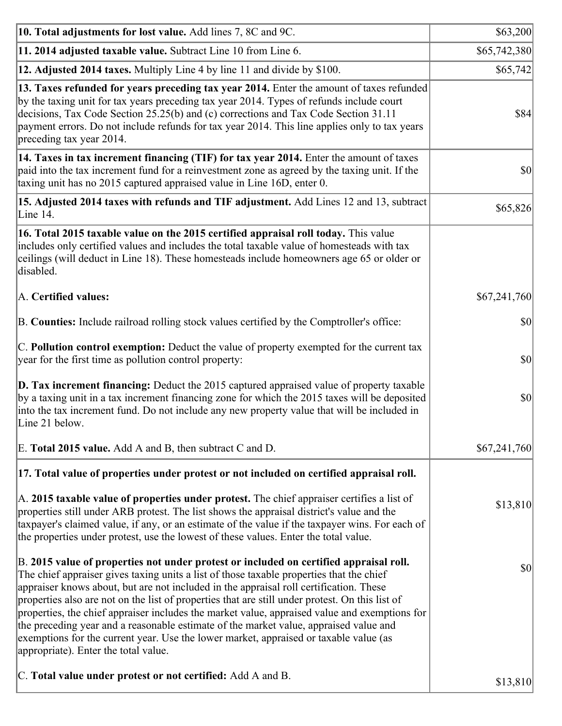| 10. Total adjustments for lost value. Add lines 7, 8C and 9C.                                                                                                                                                                                                                                                                                                                                                                                                                                                                                                                                                                                                                                              | \$63,200     |
|------------------------------------------------------------------------------------------------------------------------------------------------------------------------------------------------------------------------------------------------------------------------------------------------------------------------------------------------------------------------------------------------------------------------------------------------------------------------------------------------------------------------------------------------------------------------------------------------------------------------------------------------------------------------------------------------------------|--------------|
| 11. 2014 adjusted taxable value. Subtract Line 10 from Line 6.                                                                                                                                                                                                                                                                                                                                                                                                                                                                                                                                                                                                                                             | \$65,742,380 |
| 12. Adjusted 2014 taxes. Multiply Line 4 by line 11 and divide by \$100.                                                                                                                                                                                                                                                                                                                                                                                                                                                                                                                                                                                                                                   | \$65,742     |
| 13. Taxes refunded for years preceding tax year 2014. Enter the amount of taxes refunded<br>by the taxing unit for tax years preceding tax year 2014. Types of refunds include court<br>decisions, Tax Code Section 25.25(b) and (c) corrections and Tax Code Section 31.11<br>payment errors. Do not include refunds for tax year 2014. This line applies only to tax years<br>preceding tax year 2014.                                                                                                                                                                                                                                                                                                   | \$84         |
| 14. Taxes in tax increment financing (TIF) for tax year 2014. Enter the amount of taxes<br>paid into the tax increment fund for a reinvestment zone as agreed by the taxing unit. If the<br>taxing unit has no 2015 captured appraised value in Line 16D, enter 0.                                                                                                                                                                                                                                                                                                                                                                                                                                         | $ 10\rangle$ |
| 15. Adjusted 2014 taxes with refunds and TIF adjustment. Add Lines 12 and 13, subtract<br>Line 14.                                                                                                                                                                                                                                                                                                                                                                                                                                                                                                                                                                                                         | \$65,826     |
| 16. Total 2015 taxable value on the 2015 certified appraisal roll today. This value<br>includes only certified values and includes the total taxable value of homesteads with tax<br>ceilings (will deduct in Line 18). These homesteads include homeowners age 65 or older or<br>disabled.                                                                                                                                                                                                                                                                                                                                                                                                                |              |
| A. Certified values:                                                                                                                                                                                                                                                                                                                                                                                                                                                                                                                                                                                                                                                                                       | \$67,241,760 |
| B. Counties: Include railroad rolling stock values certified by the Comptroller's office:                                                                                                                                                                                                                                                                                                                                                                                                                                                                                                                                                                                                                  | $ 10\rangle$ |
| C. Pollution control exemption: Deduct the value of property exempted for the current tax<br>year for the first time as pollution control property:                                                                                                                                                                                                                                                                                                                                                                                                                                                                                                                                                        | $ 10\rangle$ |
| $\vert$ D. Tax increment financing: Deduct the 2015 captured appraised value of property taxable<br>by a taxing unit in a tax increment financing zone for which the 2015 taxes will be deposited<br>into the tax increment fund. Do not include any new property value that will be included in<br>Line 21 below.                                                                                                                                                                                                                                                                                                                                                                                         | $ 10\rangle$ |
| E. Total 2015 value. Add A and B, then subtract C and D.                                                                                                                                                                                                                                                                                                                                                                                                                                                                                                                                                                                                                                                   | \$67,241,760 |
| 17. Total value of properties under protest or not included on certified appraisal roll.                                                                                                                                                                                                                                                                                                                                                                                                                                                                                                                                                                                                                   |              |
| A. 2015 taxable value of properties under protest. The chief appraiser certifies a list of<br>properties still under ARB protest. The list shows the appraisal district's value and the<br>taxpayer's claimed value, if any, or an estimate of the value if the taxpayer wins. For each of<br>the properties under protest, use the lowest of these values. Enter the total value.                                                                                                                                                                                                                                                                                                                         | \$13,810     |
| B. 2015 value of properties not under protest or included on certified appraisal roll.<br>The chief appraiser gives taxing units a list of those taxable properties that the chief<br>appraiser knows about, but are not included in the appraisal roll certification. These<br>properties also are not on the list of properties that are still under protest. On this list of<br>properties, the chief appraiser includes the market value, appraised value and exemptions for<br>the preceding year and a reasonable estimate of the market value, appraised value and<br>exemptions for the current year. Use the lower market, appraised or taxable value (as<br>appropriate). Enter the total value. | $ 10\rangle$ |
| C. Total value under protest or not certified: Add A and B.                                                                                                                                                                                                                                                                                                                                                                                                                                                                                                                                                                                                                                                | \$13,810     |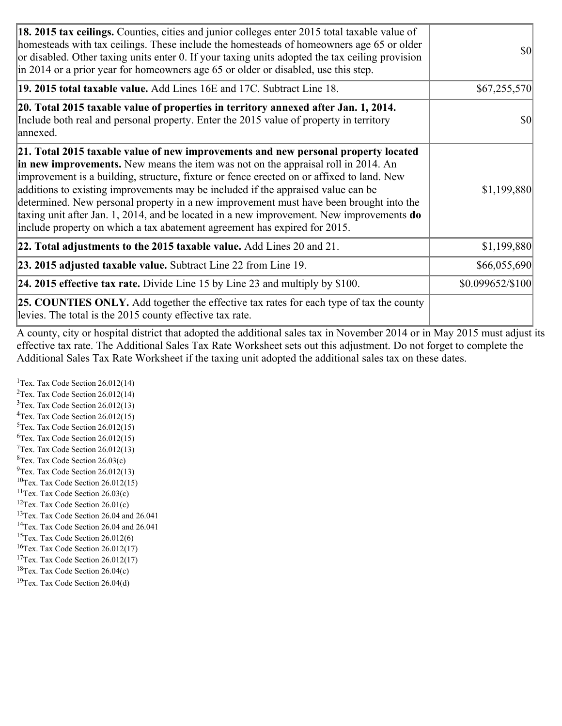| 18. 2015 tax ceilings. Counties, cities and junior colleges enter 2015 total taxable value of<br>homesteads with tax ceilings. These include the homesteads of homeowners age 65 or older<br>or disabled. Other taxing units enter 0. If your taxing units adopted the tax ceiling provision<br>$\ln 2014$ or a prior year for homeowners age 65 or older or disabled, use this step.                                                                                                                                                                                                                                              | <b>\$0</b>       |
|------------------------------------------------------------------------------------------------------------------------------------------------------------------------------------------------------------------------------------------------------------------------------------------------------------------------------------------------------------------------------------------------------------------------------------------------------------------------------------------------------------------------------------------------------------------------------------------------------------------------------------|------------------|
| 19. 2015 total taxable value. Add Lines 16E and 17C. Subtract Line 18.                                                                                                                                                                                                                                                                                                                                                                                                                                                                                                                                                             | \$67,255,570]    |
| 20. Total 2015 taxable value of properties in territory annexed after Jan. 1, 2014.<br>Include both real and personal property. Enter the 2015 value of property in territory<br>annexed.                                                                                                                                                                                                                                                                                                                                                                                                                                          | <b>\$0</b>       |
| 21. Total 2015 taxable value of new improvements and new personal property located<br>in new improvements. New means the item was not on the appraisal roll in 2014. An<br>improvement is a building, structure, fixture or fence erected on or affixed to land. New<br>additions to existing improvements may be included if the appraised value can be<br>determined. New personal property in a new improvement must have been brought into the<br>taxing unit after Jan. 1, 2014, and be located in a new improvement. New improvements <b>do</b><br>include property on which a tax abatement agreement has expired for 2015. | \$1,199,880      |
| 22. Total adjustments to the 2015 taxable value. Add Lines 20 and 21.                                                                                                                                                                                                                                                                                                                                                                                                                                                                                                                                                              | \$1,199,880      |
| <b>23. 2015 adjusted taxable value.</b> Subtract Line 22 from Line 19.                                                                                                                                                                                                                                                                                                                                                                                                                                                                                                                                                             | \$66,055,690     |
| <b>24. 2015 effective tax rate.</b> Divide Line 15 by Line 23 and multiply by $$100$ .                                                                                                                                                                                                                                                                                                                                                                                                                                                                                                                                             | \$0.099652/\$100 |
| <b>25. COUNTIES ONLY.</b> Add together the effective tax rates for each type of tax the county<br>levies. The total is the 2015 county effective tax rate.                                                                                                                                                                                                                                                                                                                                                                                                                                                                         |                  |

A county, city or hospital district that adopted the additional sales tax in November 2014 or in May 2015 must adjust its effective tax rate. The Additional Sales Tax Rate Worksheet sets out this adjustment. Do not forget to complete the Additional Sales Tax Rate Worksheet if the taxing unit adopted the additional sales tax on these dates.

<sup>1</sup>Tex. Tax Code Section  $26.012(14)$ <sup>2</sup>Tex. Tax Code Section  $26.012(14)$  $3$ Tex. Tax Code Section 26.012(13)  ${}^{4}$ Tex. Tax Code Section 26.012(15) <sup>5</sup>Tex. Tax Code Section 26.012(15)  ${}^{6}$ Tex. Tax Code Section 26.012(15)  $7$ Tex. Tax Code Section 26.012(13)  ${}^{8}$ Tex. Tax Code Section 26.03(c)  $^{9}$ Tex. Tax Code Section 26.012(13)  $10$ Tex. Tax Code Section 26.012(15) <sup>11</sup>Tex. Tax Code Section  $26.03(c)$ <sup>12</sup>Tex. Tax Code Section  $26.01(c)$ <sup>13</sup>Tex. Tax Code Section 26.04 and 26.041 <sup>14</sup>Tex. Tax Code Section 26.04 and 26.041 <sup>15</sup>Tex. Tax Code Section  $26.012(6)$  $16$ Tex. Tax Code Section 26.012(17) <sup>17</sup>Tex. Tax Code Section 26.012(17) <sup>18</sup>Tex. Tax Code Section  $26.04(c)$  $19$ Tex. Tax Code Section 26.04(d)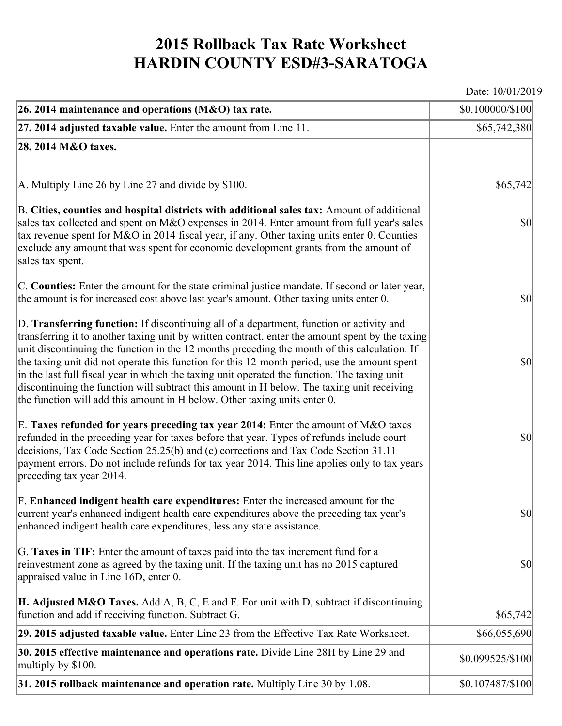## **2015 Rollback Tax Rate Worksheet HARDIN COUNTY ESD#3-SARATOGA**

Date: 10/01/2019

| 26. 2014 maintenance and operations (M&O) tax rate.                                                                                                                                                                                                                                                                                                                                                                                                                                                                                                                                                                                                                     | \$0.100000/\$100 |
|-------------------------------------------------------------------------------------------------------------------------------------------------------------------------------------------------------------------------------------------------------------------------------------------------------------------------------------------------------------------------------------------------------------------------------------------------------------------------------------------------------------------------------------------------------------------------------------------------------------------------------------------------------------------------|------------------|
| $ 27.2014$ adjusted taxable value. Enter the amount from Line 11.                                                                                                                                                                                                                                                                                                                                                                                                                                                                                                                                                                                                       | \$65,742,380     |
| 28. 2014 M&O taxes.                                                                                                                                                                                                                                                                                                                                                                                                                                                                                                                                                                                                                                                     |                  |
|                                                                                                                                                                                                                                                                                                                                                                                                                                                                                                                                                                                                                                                                         |                  |
| A. Multiply Line 26 by Line 27 and divide by $$100$ .                                                                                                                                                                                                                                                                                                                                                                                                                                                                                                                                                                                                                   | \$65,742]        |
| B. Cities, counties and hospital districts with additional sales tax: Amount of additional<br>sales tax collected and spent on M&O expenses in 2014. Enter amount from full year's sales<br>tax revenue spent for M&O in 2014 fiscal year, if any. Other taxing units enter 0. Counties<br>exclude any amount that was spent for economic development grants from the amount of<br>sales tax spent.                                                                                                                                                                                                                                                                     | $ 10\rangle$     |
| C. Counties: Enter the amount for the state criminal justice mandate. If second or later year,<br>the amount is for increased cost above last year's amount. Other taxing units enter 0.                                                                                                                                                                                                                                                                                                                                                                                                                                                                                | $ 10\rangle$     |
| D. Transferring function: If discontinuing all of a department, function or activity and<br>transferring it to another taxing unit by written contract, enter the amount spent by the taxing<br>unit discontinuing the function in the 12 months preceding the month of this calculation. If<br>the taxing unit did not operate this function for this 12-month period, use the amount spent<br>in the last full fiscal year in which the taxing unit operated the function. The taxing unit<br>discontinuing the function will subtract this amount in H below. The taxing unit receiving<br>the function will add this amount in H below. Other taxing units enter 0. | $ 10\rangle$     |
| E. Taxes refunded for years preceding tax year 2014: Enter the amount of $M&O$ taxes<br>refunded in the preceding year for taxes before that year. Types of refunds include court<br>decisions, Tax Code Section 25.25(b) and (c) corrections and Tax Code Section 31.11<br>payment errors. Do not include refunds for tax year 2014. This line applies only to tax years<br>preceding tax year 2014.                                                                                                                                                                                                                                                                   | $ 10\rangle$     |
| F. Enhanced indigent health care expenditures: Enter the increased amount for the<br>current year's enhanced indigent health care expenditures above the preceding tax year's<br>enhanced indigent health care expenditures, less any state assistance.                                                                                                                                                                                                                                                                                                                                                                                                                 | \$0              |
| G. Taxes in TIF: Enter the amount of taxes paid into the tax increment fund for a<br>reinvestment zone as agreed by the taxing unit. If the taxing unit has no 2015 captured<br>appraised value in Line 16D, enter 0.                                                                                                                                                                                                                                                                                                                                                                                                                                                   | $ 10\rangle$     |
| <b>H. Adjusted M&amp;O Taxes.</b> Add A, B, C, E and F. For unit with D, subtract if discontinuing<br>function and add if receiving function. Subtract G.                                                                                                                                                                                                                                                                                                                                                                                                                                                                                                               | \$65,742         |
| 29. 2015 adjusted taxable value. Enter Line 23 from the Effective Tax Rate Worksheet.                                                                                                                                                                                                                                                                                                                                                                                                                                                                                                                                                                                   | \$66,055,690     |
| 30. 2015 effective maintenance and operations rate. Divide Line 28H by Line 29 and<br>multiply by \$100.                                                                                                                                                                                                                                                                                                                                                                                                                                                                                                                                                                | \$0.099525/\$100 |
| 31. 2015 rollback maintenance and operation rate. Multiply Line 30 by 1.08.                                                                                                                                                                                                                                                                                                                                                                                                                                                                                                                                                                                             | \$0.107487/\$100 |